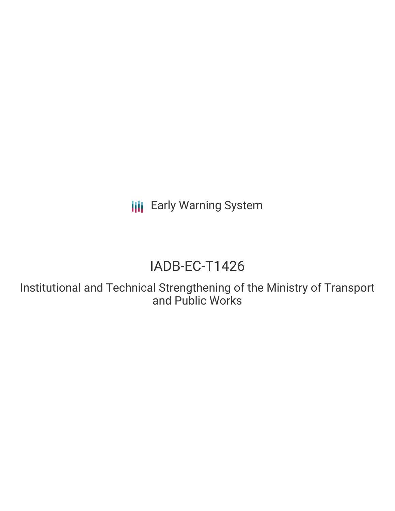**III** Early Warning System

# IADB-EC-T1426

Institutional and Technical Strengthening of the Ministry of Transport and Public Works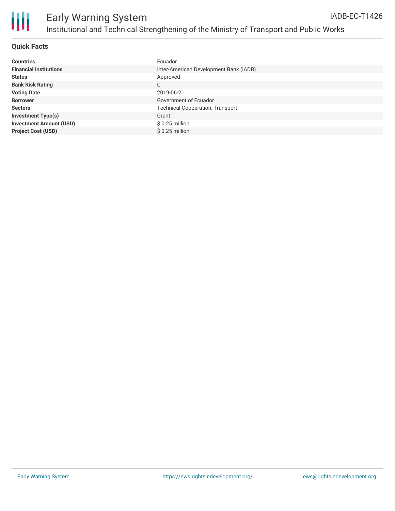

| <b>Countries</b>               | Ecuador                                 |
|--------------------------------|-----------------------------------------|
| <b>Financial Institutions</b>  | Inter-American Development Bank (IADB)  |
| <b>Status</b>                  | Approved                                |
| <b>Bank Risk Rating</b>        | C                                       |
| <b>Voting Date</b>             | 2019-06-21                              |
| <b>Borrower</b>                | Government of Ecuador                   |
| <b>Sectors</b>                 | <b>Technical Cooperation, Transport</b> |
| <b>Investment Type(s)</b>      | Grant                                   |
| <b>Investment Amount (USD)</b> | $$0.25$ million                         |
| <b>Project Cost (USD)</b>      | $$0.25$ million                         |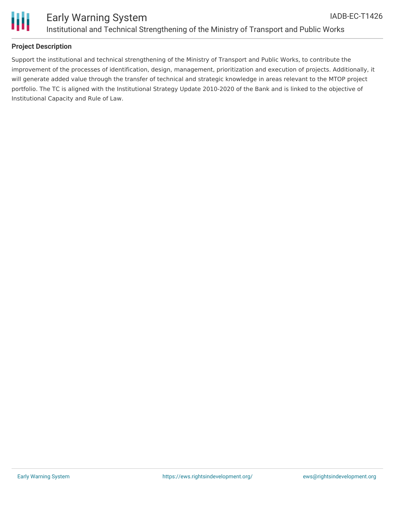

### **Project Description**

Support the institutional and technical strengthening of the Ministry of Transport and Public Works, to contribute the improvement of the processes of identification, design, management, prioritization and execution of projects. Additionally, it will generate added value through the transfer of technical and strategic knowledge in areas relevant to the MTOP project portfolio. The TC is aligned with the Institutional Strategy Update 2010-2020 of the Bank and is linked to the objective of Institutional Capacity and Rule of Law.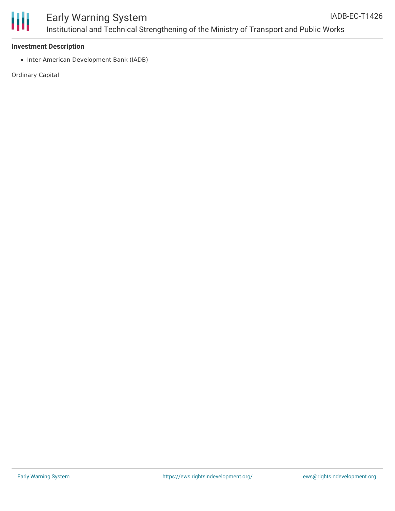

#### **Investment Description**

• Inter-American Development Bank (IADB)

Ordinary Capital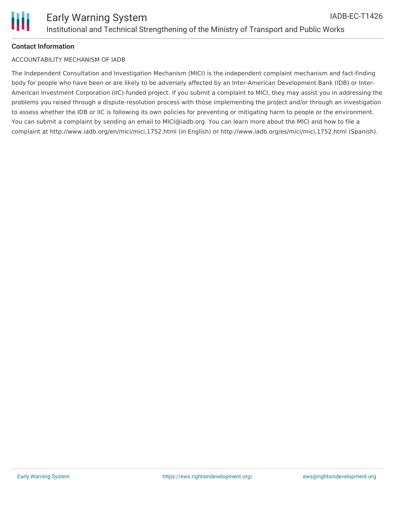## **Contact Information**

#### ACCOUNTABILITY MECHANISM OF IADB

The Independent Consultation and Investigation Mechanism (MICI) is the independent complaint mechanism and fact-finding body for people who have been or are likely to be adversely affected by an Inter-American Development Bank (IDB) or Inter-American Investment Corporation (IIC)-funded project. If you submit a complaint to MICI, they may assist you in addressing the problems you raised through a dispute-resolution process with those implementing the project and/or through an investigation to assess whether the IDB or IIC is following its own policies for preventing or mitigating harm to people or the environment. You can submit a complaint by sending an email to MICI@iadb.org. You can learn more about the MICI and how to file a complaint at http://www.iadb.org/en/mici/mici,1752.html (in English) or http://www.iadb.org/es/mici/mici,1752.html (Spanish).